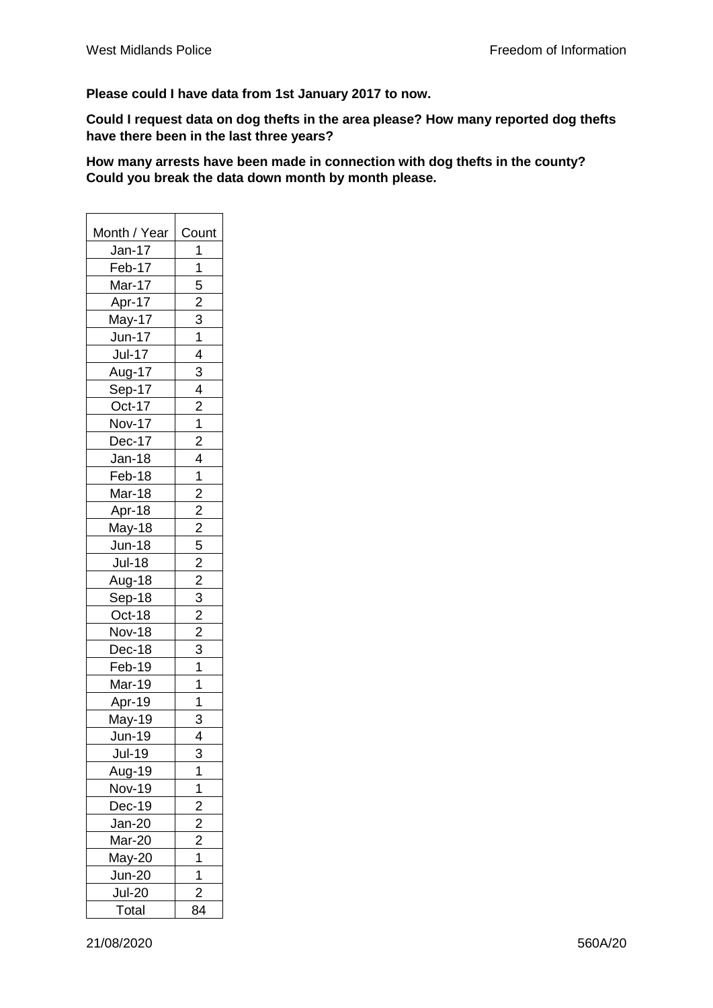**Please could I have data from 1st January 2017 to now.**

**Could I request data on dog thefts in the area please? How many reported dog thefts have there been in the last three years?** 

**How many arrests have been made in connection with dog thefts in the county? Could you break the data down month by month please.**

| Month / Year     |                                                                                                                                             |  |  |
|------------------|---------------------------------------------------------------------------------------------------------------------------------------------|--|--|
|                  | Count                                                                                                                                       |  |  |
| Jan-17<br>Feb-17 | 1                                                                                                                                           |  |  |
|                  | $\overline{1}$                                                                                                                              |  |  |
| Mar-17           |                                                                                                                                             |  |  |
| Apr-17           | $\frac{1}{5}$ 2 $\frac{3}{1}$ 1 4                                                                                                           |  |  |
| May-17           |                                                                                                                                             |  |  |
| Jun-17           |                                                                                                                                             |  |  |
| <b>Jul-17</b>    |                                                                                                                                             |  |  |
| Aug-17           | $\overline{3}$                                                                                                                              |  |  |
| Sep-17           | $\overline{4}$                                                                                                                              |  |  |
| Oct-17           | $\overline{2}$                                                                                                                              |  |  |
| <b>Nov-17</b>    | 1                                                                                                                                           |  |  |
| Dec-17           | $\overline{2}$                                                                                                                              |  |  |
| Jan-18           | $\overline{4}$                                                                                                                              |  |  |
| Feb-18           | $\overline{1}$                                                                                                                              |  |  |
| Mar-18           |                                                                                                                                             |  |  |
| Apr-18           |                                                                                                                                             |  |  |
| May-18           |                                                                                                                                             |  |  |
| Jun-18           |                                                                                                                                             |  |  |
| <b>Jul-18</b>    | $\frac{2}{2} \cdot \frac{2}{2} \cdot \frac{5}{5} \cdot \frac{2}{2} \cdot \frac{3}{3} \cdot \frac{2}{2} \cdot \frac{3}{3} \cdot \frac{1}{1}$ |  |  |
| Aug-18           |                                                                                                                                             |  |  |
| Sep-18           |                                                                                                                                             |  |  |
| Oct-18           |                                                                                                                                             |  |  |
| <b>Nov-18</b>    |                                                                                                                                             |  |  |
| Dec-18           |                                                                                                                                             |  |  |
| Feb-19           |                                                                                                                                             |  |  |
| Mar-19           | $\overline{1}$                                                                                                                              |  |  |
| Apr-19           | $\overline{1}$                                                                                                                              |  |  |
| May-19           | $\overline{3}$                                                                                                                              |  |  |
| <b>Jun-19</b>    | 4                                                                                                                                           |  |  |
| $Jul-19$         | $\overline{3}$                                                                                                                              |  |  |
| Aug-19           | 1                                                                                                                                           |  |  |
| <b>Nov-19</b>    | 1                                                                                                                                           |  |  |
| Dec-19           |                                                                                                                                             |  |  |
| Jan-20           |                                                                                                                                             |  |  |
| Mar-20           |                                                                                                                                             |  |  |
| May-20           |                                                                                                                                             |  |  |
| <b>Jun-20</b>    | $\frac{2}{2}$ $\frac{2}{1}$ $\frac{1}{1}$                                                                                                   |  |  |
| <b>Jul-20</b>    | $\overline{2}$                                                                                                                              |  |  |
| Total            | 84                                                                                                                                          |  |  |